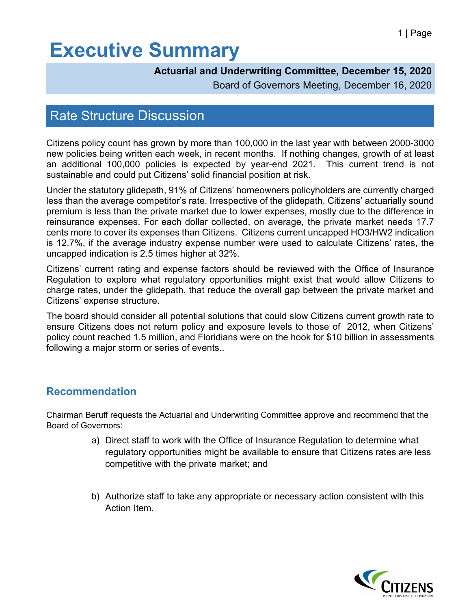## **Executive Summary**

## **Actuarial and Underwriting Committee, December 15, 2020**

Board of Governors Meeting, December 16, 2020

## Rate Structure Discussion

Citizens policy count has grown by more than 100,000 in the last year with between 2000-3000 new policies being written each week, in recent months. If nothing changes, growth of at least an additional 100,000 policies is expected by year-end 2021. This current trend is not sustainable and could put Citizens' solid financial position at risk.

Under the statutory glidepath, 91% of Citizens' homeowners policyholders are currently charged less than the average competitor's rate. Irrespective of the glidepath, Citizens' actuarially sound premium is less than the private market due to lower expenses, mostly due to the difference in reinsurance expenses. For each dollar collected, on average, the private market needs 17.7 cents more to cover its expenses than Citizens. Citizens current uncapped HO3/HW2 indication is 12.7%, if the average industry expense number were used to calculate Citizens' rates, the uncapped indication is 2.5 times higher at 32%.

Citizens' current rating and expense factors should be reviewed with the Office of Insurance Regulation to explore what regulatory opportunities might exist that would allow Citizens to charge rates, under the glidepath, that reduce the overall gap between the private market and Citizens' expense structure.

The board should consider all potential solutions that could slow Citizens current growth rate to ensure Citizens does not return policy and exposure levels to those of 2012, when Citizens' policy count reached 1.5 million, and Floridians were on the hook for \$10 billion in assessments following a major storm or series of events..

## **Recommendation**

Chairman Beruff requests the Actuarial and Underwriting Committee approve and recommend that the Board of Governors:

- a) Direct staff to work with the Office of Insurance Regulation to determine what regulatory opportunities might be available to ensure that Citizens rates are less competitive with the private market; and
- b) Authorize staff to take any appropriate or necessary action consistent with this Action Item.

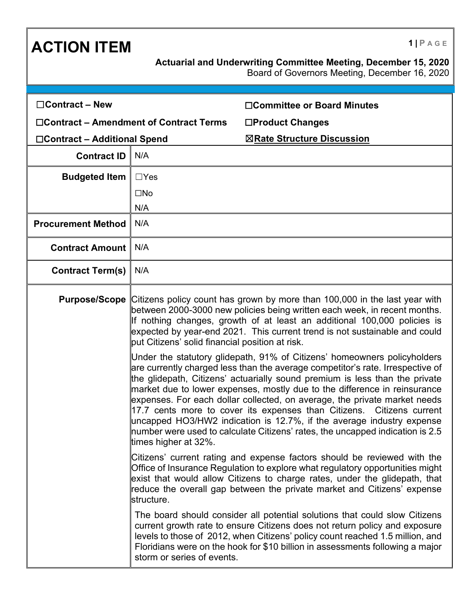| <b>ACTION ITEM</b>                            |                                                                                                                                                                                                                                                                                                                                                                                                                                                                                                                                                                                                                                                                | $1$   PAGE                                                                                                                                                                                                                                                                                                                 |
|-----------------------------------------------|----------------------------------------------------------------------------------------------------------------------------------------------------------------------------------------------------------------------------------------------------------------------------------------------------------------------------------------------------------------------------------------------------------------------------------------------------------------------------------------------------------------------------------------------------------------------------------------------------------------------------------------------------------------|----------------------------------------------------------------------------------------------------------------------------------------------------------------------------------------------------------------------------------------------------------------------------------------------------------------------------|
|                                               |                                                                                                                                                                                                                                                                                                                                                                                                                                                                                                                                                                                                                                                                | Actuarial and Underwriting Committee Meeting, December 15, 2020<br>Board of Governors Meeting, December 16, 2020                                                                                                                                                                                                           |
| $\Box$ Contract – New                         |                                                                                                                                                                                                                                                                                                                                                                                                                                                                                                                                                                                                                                                                | □Committee or Board Minutes                                                                                                                                                                                                                                                                                                |
| $\Box$ Contract – Amendment of Contract Terms |                                                                                                                                                                                                                                                                                                                                                                                                                                                                                                                                                                                                                                                                | □Product Changes                                                                                                                                                                                                                                                                                                           |
| □Contract – Additional Spend                  |                                                                                                                                                                                                                                                                                                                                                                                                                                                                                                                                                                                                                                                                | ⊠Rate Structure Discussion                                                                                                                                                                                                                                                                                                 |
| <b>Contract ID</b>                            | N/A                                                                                                                                                                                                                                                                                                                                                                                                                                                                                                                                                                                                                                                            |                                                                                                                                                                                                                                                                                                                            |
| <b>Budgeted Item</b>                          | $\Box$ Yes                                                                                                                                                                                                                                                                                                                                                                                                                                                                                                                                                                                                                                                     |                                                                                                                                                                                                                                                                                                                            |
|                                               | $\square$ No                                                                                                                                                                                                                                                                                                                                                                                                                                                                                                                                                                                                                                                   |                                                                                                                                                                                                                                                                                                                            |
|                                               | N/A                                                                                                                                                                                                                                                                                                                                                                                                                                                                                                                                                                                                                                                            |                                                                                                                                                                                                                                                                                                                            |
| <b>Procurement Method</b>                     | N/A                                                                                                                                                                                                                                                                                                                                                                                                                                                                                                                                                                                                                                                            |                                                                                                                                                                                                                                                                                                                            |
| <b>Contract Amount</b>                        | N/A                                                                                                                                                                                                                                                                                                                                                                                                                                                                                                                                                                                                                                                            |                                                                                                                                                                                                                                                                                                                            |
| <b>Contract Term(s)</b>                       | N/A                                                                                                                                                                                                                                                                                                                                                                                                                                                                                                                                                                                                                                                            |                                                                                                                                                                                                                                                                                                                            |
| <b>Purpose/Scope</b>                          | Citizens policy count has grown by more than 100,000 in the last year with<br>between 2000-3000 new policies being written each week, in recent months.<br>If nothing changes, growth of at least an additional 100,000 policies is<br>expected by year-end 2021. This current trend is not sustainable and could<br>put Citizens' solid financial position at risk.                                                                                                                                                                                                                                                                                           |                                                                                                                                                                                                                                                                                                                            |
|                                               | Under the statutory glidepath, 91% of Citizens' homeowners policyholders<br>are currently charged less than the average competitor's rate. Irrespective of<br>the glidepath, Citizens' actuarially sound premium is less than the private<br>market due to lower expenses, mostly due to the difference in reinsurance<br>expenses. For each dollar collected, on average, the private market needs<br>17.7 cents more to cover its expenses than Citizens. Citizens current<br>uncapped HO3/HW2 indication is 12.7%, if the average industry expense<br>number were used to calculate Citizens' rates, the uncapped indication is 2.5<br>times higher at 32%. |                                                                                                                                                                                                                                                                                                                            |
|                                               | structure.                                                                                                                                                                                                                                                                                                                                                                                                                                                                                                                                                                                                                                                     | Citizens' current rating and expense factors should be reviewed with the<br>Office of Insurance Regulation to explore what regulatory opportunities might<br>exist that would allow Citizens to charge rates, under the glidepath, that<br>reduce the overall gap between the private market and Citizens' expense         |
|                                               | storm or series of events.                                                                                                                                                                                                                                                                                                                                                                                                                                                                                                                                                                                                                                     | The board should consider all potential solutions that could slow Citizens<br>current growth rate to ensure Citizens does not return policy and exposure<br>levels to those of 2012, when Citizens' policy count reached 1.5 million, and<br>Floridians were on the hook for \$10 billion in assessments following a major |